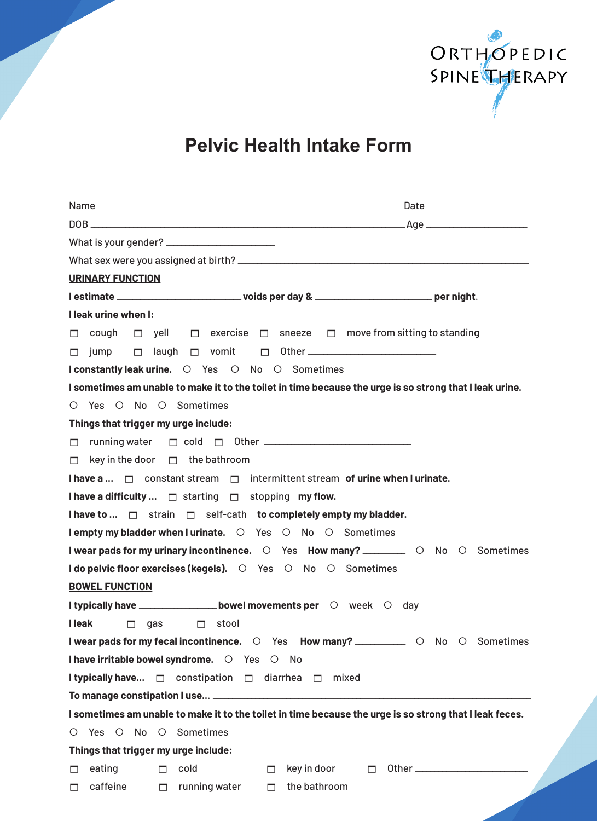

**Pelvic Health Intake Form**

| <b>URINARY FUNCTION</b>                                                                                 |  |  |
|---------------------------------------------------------------------------------------------------------|--|--|
|                                                                                                         |  |  |
| I leak urine when I:                                                                                    |  |  |
| $\Box$ cough $\Box$ yell $\Box$ exercise $\Box$ sneeze $\Box$ move from sitting to standing             |  |  |
|                                                                                                         |  |  |
| <b>I constantly leak urine.</b> O Yes O No O Sometimes                                                  |  |  |
| I sometimes am unable to make it to the toilet in time because the urge is so strong that I leak urine. |  |  |
| O Yes O No O Sometimes                                                                                  |  |  |
| Things that trigger my urge include:                                                                    |  |  |
|                                                                                                         |  |  |
| $\Box$ key in the door $\Box$ the bathroom                                                              |  |  |
| I have a   □ constant stream □ intermittent stream of urine when I urinate.                             |  |  |
| I have a difficulty $\Box$ starting $\Box$ stopping my flow.                                            |  |  |
| I have to  □ strain □ self-cath to completely empty my bladder.                                         |  |  |
| I empty my bladder when I urinate. O Yes O No O Sometimes                                               |  |  |
| I wear pads for my urinary incontinence. O Yes How many? __________ O No O Sometimes                    |  |  |
| I do pelvic floor exercises (kegels). O Yes O No O Sometimes                                            |  |  |
| <b>BOWEL FUNCTION</b>                                                                                   |  |  |
| I typically have ___________________bowel movements per O week O day                                    |  |  |
| <b>I</b> leak<br>$\Box$ gas $\Box$ stool                                                                |  |  |
| I wear pads for my fecal incontinence. O Yes How many? ___________ O No O Sometimes                     |  |  |
| I have irritable bowel syndrome. O Yes O No                                                             |  |  |
| <b>I typically have</b> □ constipation □ diarrhea □ mixed                                               |  |  |
|                                                                                                         |  |  |
| I sometimes am unable to make it to the toilet in time because the urge is so strong that I leak feces. |  |  |
| O Yes O No O Sometimes                                                                                  |  |  |
| Things that trigger my urge include:                                                                    |  |  |
| cold<br>eating<br>key in door<br>П.<br>П<br>$\Box$<br>□                                                 |  |  |
| caffeine<br>running water<br>the bathroom<br>П<br>П<br>□                                                |  |  |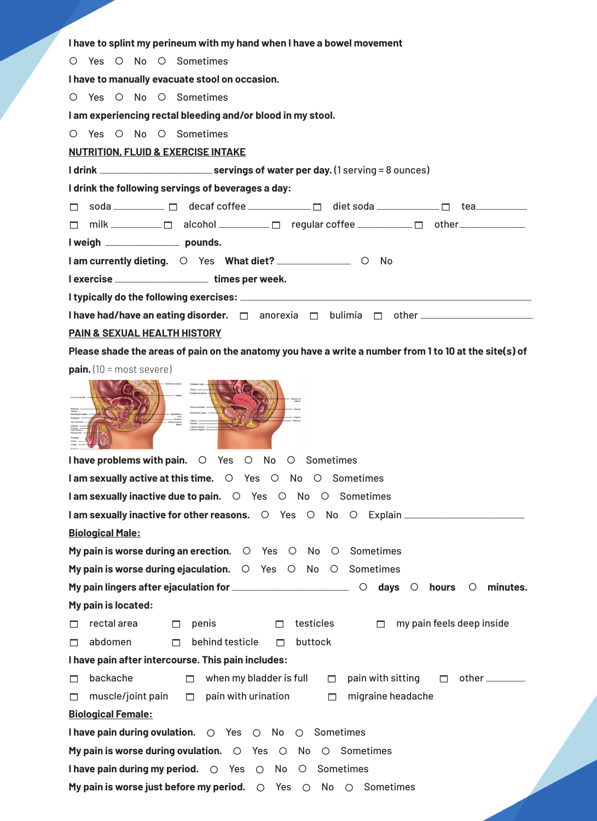| I have to splint my perineum with my hand when I have a bowel movement                                 |  |  |
|--------------------------------------------------------------------------------------------------------|--|--|
| O Yes O No O Sometimes                                                                                 |  |  |
| I have to manually evacuate stool on occasion.                                                         |  |  |
| O Yes O No O Sometimes                                                                                 |  |  |
| I am experiencing rectal bleeding and/or blood in my stool.                                            |  |  |
| O Yes O No O Sometimes                                                                                 |  |  |
| <b>NUTRITION, FLUID &amp; EXERCISE INTAKE</b>                                                          |  |  |
|                                                                                                        |  |  |
| I drink the following servings of beverages a day:                                                     |  |  |
|                                                                                                        |  |  |
| $\Box$ milk $\Box$ alcohol $\Box$ regular coffee $\Box$ other $\Box$                                   |  |  |
| I weigh _____________________ pounds.                                                                  |  |  |
| I am currently dieting. O Yes What diet? _______________ O No                                          |  |  |
| l exercise ______________________times per week.                                                       |  |  |
|                                                                                                        |  |  |
|                                                                                                        |  |  |
| PAIN & SEXUAL HEALTH HISTORY                                                                           |  |  |
| Please shade the areas of pain on the anatomy you have a write a number from 1 to 10 at the site(s) of |  |  |
| <b>pain.</b> $(10 = \text{most severe})$                                                               |  |  |
| I have problems with pain. $\circ$ Yes<br>O No O Sometimes                                             |  |  |
| I am sexually active at this time. O Yes O No O Sometimes                                              |  |  |
| I am sexually inactive due to pain. O Yes O No O Sometimes                                             |  |  |
|                                                                                                        |  |  |
| <b>Biological Male:</b>                                                                                |  |  |
| My pain is worse during an erection. $\circ$ Yes $\circ$ No $\circ$<br>Sometimes                       |  |  |
| My pain is worse during ejaculation. $\circ$ Yes $\circ$ No $\circ$ Sometimes                          |  |  |
| minutes.<br>$\circ$                                                                                    |  |  |
| My pain is located:                                                                                    |  |  |
| rectal area<br>testicles<br>my pain feels deep inside<br>penis<br>П<br>⊓<br>п<br>П.                    |  |  |
| abdomen<br>behind testicle<br>buttock<br>П.<br>П.<br>п                                                 |  |  |
| I have pain after intercourse. This pain includes:                                                     |  |  |
| backache<br>when my bladder is full<br>pain with sitting<br>$\Box$<br>$\Box$<br>п<br>П.                |  |  |
| pain with urination<br>migraine headache<br>muscle/joint pain<br>$\Box$<br>П<br>п                      |  |  |
| <b>Biological Female:</b>                                                                              |  |  |
| I have pain during ovulation.<br>Sometimes<br>O Yes O No O                                             |  |  |

My pain is worse during ovulation.  $\bigcirc$  Yes  $\bigcirc$  No  $\bigcirc$  Sometimes

**I have pain during my period.**  $\bigcirc$  Yes  $\bigcirc$  No  $\bigcirc$  Sometimes

My pain is worse just before my period.  $\bigcirc$  Yes  $\bigcirc$  No  $\bigcirc$  Sometimes